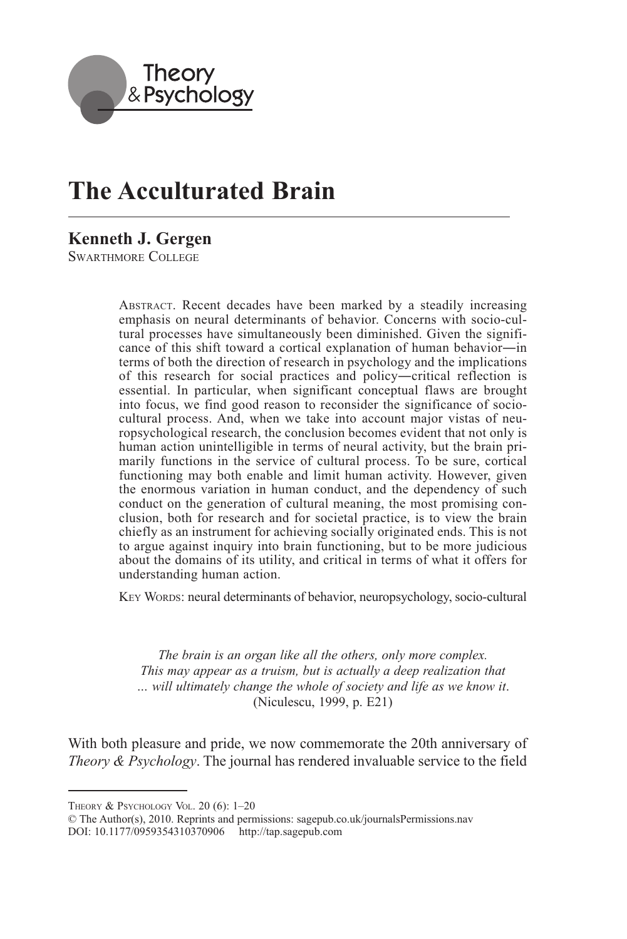

# **The Acculturated Brain**

# **Kenneth J. Gergen**

SWARTHMORE COLLEGE

ABSTRACT. Recent decades have been marked by a steadily increasing emphasis on neural determinants of behavior. Concerns with socio-cultural processes have simultaneously been diminished. Given the significance of this shift toward a cortical explanation of human behavior―in terms of both the direction of research in psychology and the implications of this research for social practices and policy―critical reflection is essential. In particular, when significant conceptual flaws are brought into focus, we find good reason to reconsider the significance of sociocultural process. And, when we take into account major vistas of neuropsychological research, the conclusion becomes evident that not only is human action unintelligible in terms of neural activity, but the brain primarily functions in the service of cultural process. To be sure, cortical functioning may both enable and limit human activity. However, given the enormous variation in human conduct, and the dependency of such conduct on the generation of cultural meaning, the most promising conclusion, both for research and for societal practice, is to view the brain chiefly as an instrument for achieving socially originated ends. This is not to argue against inquiry into brain functioning, but to be more judicious about the domains of its utility, and critical in terms of what it offers for understanding human action.

KEY WORDS: neural determinants of behavior, neuropsychology, socio-cultural

*The brain is an organ like all the others, only more complex. This may appear as a truism, but is actually a deep realization that … will ultimately change the whole of society and life as we know it*. (Niculescu, 1999, p. E21)

With both pleasure and pride, we now commemorate the 20th anniversary of *Theory & Psychology*. The journal has rendered invaluable service to the field

THEORY & PSYCHOLOGY VOL. 20 (6): 1-20

<sup>©</sup> The Author(s), 2010. Reprints and permissions: sagepub.co.uk/journalsPermissions.nav DOI: 10.1177/0959354310370906 http://tap.sagepub.com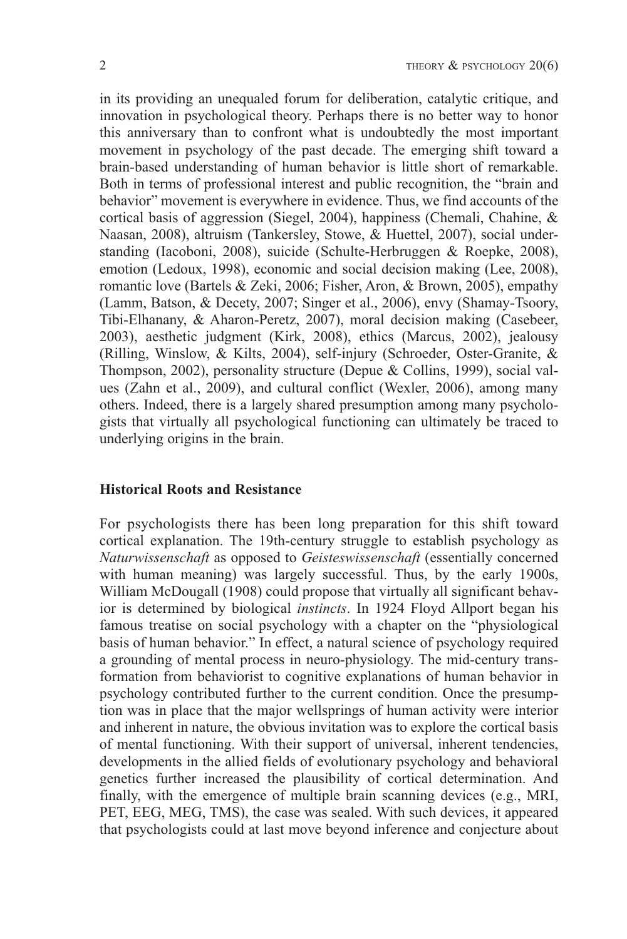in its providing an unequaled forum for deliberation, catalytic critique, and innovation in psychological theory. Perhaps there is no better way to honor this anniversary than to confront what is undoubtedly the most important movement in psychology of the past decade. The emerging shift toward a brain-based understanding of human behavior is little short of remarkable. Both in terms of professional interest and public recognition, the "brain and behavior" movement is everywhere in evidence. Thus, we find accounts of the cortical basis of aggression (Siegel, 2004), happiness (Chemali, Chahine, & Naasan, 2008), altruism (Tankersley, Stowe, & Huettel, 2007), social understanding (Iacoboni, 2008), suicide (Schulte-Herbruggen & Roepke, 2008), emotion (Ledoux, 1998), economic and social decision making (Lee, 2008), romantic love (Bartels & Zeki, 2006; Fisher, Aron, & Brown, 2005), empathy (Lamm, Batson, & Decety, 2007; Singer et al., 2006), envy (Shamay-Tsoory, Tibi-Elhanany, & Aharon-Peretz, 2007), moral decision making (Casebeer, 2003), aesthetic judgment (Kirk, 2008), ethics (Marcus, 2002), jealousy (Rilling, Winslow, & Kilts, 2004), self-injury (Schroeder, Oster-Granite, & Thompson, 2002), personality structure (Depue & Collins, 1999), social values (Zahn et al., 2009), and cultural conflict (Wexler, 2006), among many others. Indeed, there is a largely shared presumption among many psychologists that virtually all psychological functioning can ultimately be traced to underlying origins in the brain.

# **Historical Roots and Resistance**

For psychologists there has been long preparation for this shift toward cortical explanation. The 19th-century struggle to establish psychology as *Naturwissenschaft* as opposed to *Geisteswissenschaft* (essentially concerned with human meaning) was largely successful. Thus, by the early 1900s, William McDougall (1908) could propose that virtually all significant behavior is determined by biological *instincts*. In 1924 Floyd Allport began his famous treatise on social psychology with a chapter on the "physiological basis of human behavior." In effect, a natural science of psychology required a grounding of mental process in neuro-physiology. The mid-century transformation from behaviorist to cognitive explanations of human behavior in psychology contributed further to the current condition. Once the presumption was in place that the major wellsprings of human activity were interior and inherent in nature, the obvious invitation was to explore the cortical basis of mental functioning. With their support of universal, inherent tendencies, developments in the allied fields of evolutionary psychology and behavioral genetics further increased the plausibility of cortical determination. And finally, with the emergence of multiple brain scanning devices (e.g., MRI, PET, EEG, MEG, TMS), the case was sealed. With such devices, it appeared that psychologists could at last move beyond inference and conjecture about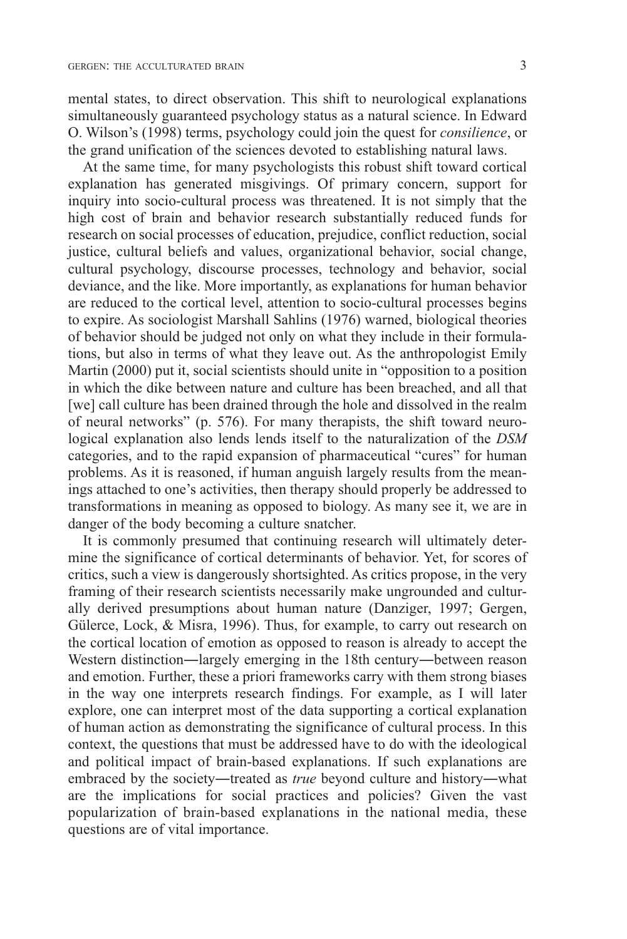mental states, to direct observation. This shift to neurological explanations simultaneously guaranteed psychology status as a natural science. In Edward O. Wilson's (1998) terms, psychology could join the quest for *consilience*, or the grand unification of the sciences devoted to establishing natural laws.

At the same time, for many psychologists this robust shift toward cortical explanation has generated misgivings. Of primary concern, support for inquiry into socio-cultural process was threatened. It is not simply that the high cost of brain and behavior research substantially reduced funds for research on social processes of education, prejudice, conflict reduction, social justice, cultural beliefs and values, organizational behavior, social change, cultural psychology, discourse processes, technology and behavior, social deviance, and the like. More importantly, as explanations for human behavior are reduced to the cortical level, attention to socio-cultural processes begins to expire. As sociologist Marshall Sahlins (1976) warned, biological theories of behavior should be judged not only on what they include in their formulations, but also in terms of what they leave out. As the anthropologist Emily Martin (2000) put it, social scientists should unite in "opposition to a position in which the dike between nature and culture has been breached, and all that [we] call culture has been drained through the hole and dissolved in the realm of neural networks" (p. 576). For many therapists, the shift toward neurological explanation also lends lends itself to the naturalization of the *DSM* categories, and to the rapid expansion of pharmaceutical "cures" for human problems. As it is reasoned, if human anguish largely results from the meanings attached to one's activities, then therapy should properly be addressed to transformations in meaning as opposed to biology. As many see it, we are in danger of the body becoming a culture snatcher.

It is commonly presumed that continuing research will ultimately determine the significance of cortical determinants of behavior. Yet, for scores of critics, such a view is dangerously shortsighted. As critics propose, in the very framing of their research scientists necessarily make ungrounded and culturally derived presumptions about human nature (Danziger, 1997; Gergen, Gülerce, Lock, & Misra, 1996). Thus, for example, to carry out research on the cortical location of emotion as opposed to reason is already to accept the Western distinction―largely emerging in the 18th century―between reason and emotion. Further, these a priori frameworks carry with them strong biases in the way one interprets research findings. For example, as I will later explore, one can interpret most of the data supporting a cortical explanation of human action as demonstrating the significance of cultural process. In this context, the questions that must be addressed have to do with the ideological and political impact of brain-based explanations. If such explanations are embraced by the society―treated as *true* beyond culture and history―what are the implications for social practices and policies? Given the vast popularization of brain-based explanations in the national media, these questions are of vital importance.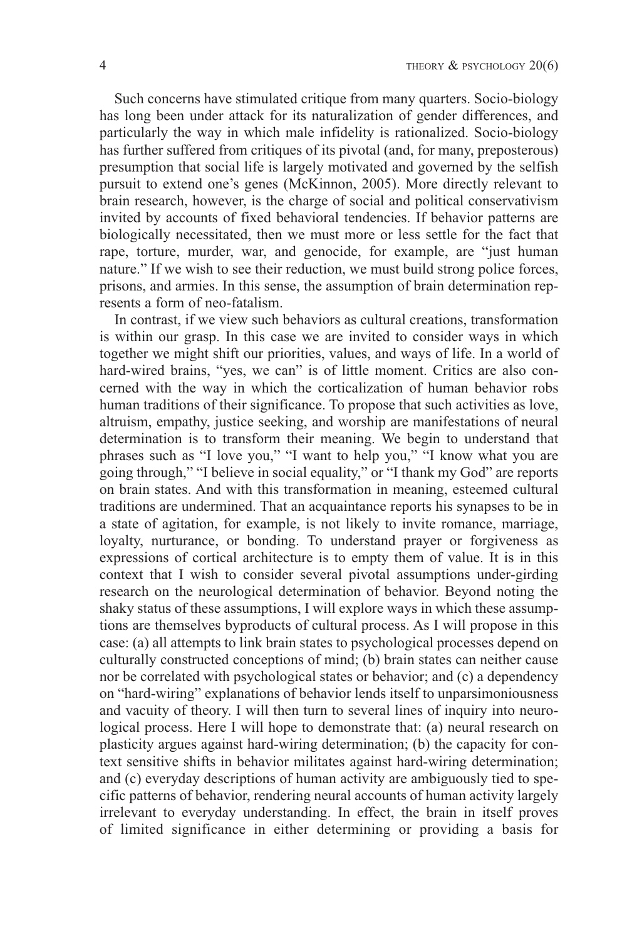Such concerns have stimulated critique from many quarters. Socio-biology has long been under attack for its naturalization of gender differences, and particularly the way in which male infidelity is rationalized. Socio-biology has further suffered from critiques of its pivotal (and, for many, preposterous) presumption that social life is largely motivated and governed by the selfish pursuit to extend one's genes (McKinnon, 2005). More directly relevant to brain research, however, is the charge of social and political conservativism invited by accounts of fixed behavioral tendencies. If behavior patterns are biologically necessitated, then we must more or less settle for the fact that rape, torture, murder, war, and genocide, for example, are "just human nature." If we wish to see their reduction, we must build strong police forces, prisons, and armies. In this sense, the assumption of brain determination represents a form of neo-fatalism.

In contrast, if we view such behaviors as cultural creations, transformation is within our grasp. In this case we are invited to consider ways in which together we might shift our priorities, values, and ways of life. In a world of hard-wired brains, "yes, we can" is of little moment. Critics are also concerned with the way in which the corticalization of human behavior robs human traditions of their significance. To propose that such activities as love, altruism, empathy, justice seeking, and worship are manifestations of neural determination is to transform their meaning. We begin to understand that phrases such as "I love you," "I want to help you," "I know what you are going through," "I believe in social equality," or "I thank my God" are reports on brain states. And with this transformation in meaning, esteemed cultural traditions are undermined. That an acquaintance reports his synapses to be in a state of agitation, for example, is not likely to invite romance, marriage, loyalty, nurturance, or bonding. To understand prayer or forgiveness as expressions of cortical architecture is to empty them of value. It is in this context that I wish to consider several pivotal assumptions under-girding research on the neurological determination of behavior. Beyond noting the shaky status of these assumptions, I will explore ways in which these assumptions are themselves byproducts of cultural process. As I will propose in this case: (a) all attempts to link brain states to psychological processes depend on culturally constructed conceptions of mind; (b) brain states can neither cause nor be correlated with psychological states or behavior; and (c) a dependency on "hard-wiring" explanations of behavior lends itself to unparsimoniousness and vacuity of theory. I will then turn to several lines of inquiry into neurological process. Here I will hope to demonstrate that: (a) neural research on plasticity argues against hard-wiring determination; (b) the capacity for context sensitive shifts in behavior militates against hard-wiring determination; and (c) everyday descriptions of human activity are ambiguously tied to specific patterns of behavior, rendering neural accounts of human activity largely irrelevant to everyday understanding. In effect, the brain in itself proves of limited significance in either determining or providing a basis for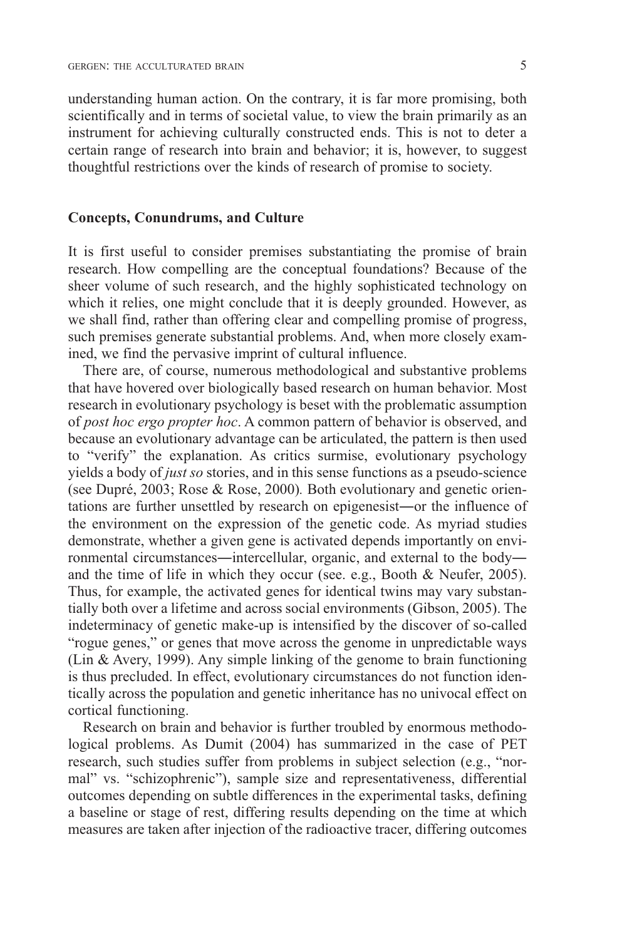understanding human action. On the contrary, it is far more promising, both scientifically and in terms of societal value, to view the brain primarily as an instrument for achieving culturally constructed ends. This is not to deter a certain range of research into brain and behavior; it is, however, to suggest thoughtful restrictions over the kinds of research of promise to society.

#### **Concepts, Conundrums, and Culture**

It is first useful to consider premises substantiating the promise of brain research. How compelling are the conceptual foundations? Because of the sheer volume of such research, and the highly sophisticated technology on which it relies, one might conclude that it is deeply grounded. However, as we shall find, rather than offering clear and compelling promise of progress, such premises generate substantial problems. And, when more closely examined, we find the pervasive imprint of cultural influence.

There are, of course, numerous methodological and substantive problems that have hovered over biologically based research on human behavior. Most research in evolutionary psychology is beset with the problematic assumption of *post hoc ergo propter hoc*. A common pattern of behavior is observed, and because an evolutionary advantage can be articulated, the pattern is then used to "verify" the explanation. As critics surmise, evolutionary psychology yields a body of *just so* stories, and in this sense functions as a pseudo-science (see Dupré, 2003; Rose & Rose, 2000)*.* Both evolutionary and genetic orientations are further unsettled by research on epigenesist―or the influence of the environment on the expression of the genetic code. As myriad studies demonstrate, whether a given gene is activated depends importantly on environmental circumstances―intercellular, organic, and external to the body― and the time of life in which they occur (see. e.g., Booth & Neufer, 2005). Thus, for example, the activated genes for identical twins may vary substantially both over a lifetime and across social environments (Gibson, 2005). The indeterminacy of genetic make-up is intensified by the discover of so-called "rogue genes," or genes that move across the genome in unpredictable ways (Lin & Avery, 1999). Any simple linking of the genome to brain functioning is thus precluded. In effect, evolutionary circumstances do not function identically across the population and genetic inheritance has no univocal effect on cortical functioning.

Research on brain and behavior is further troubled by enormous methodological problems. As Dumit (2004) has summarized in the case of PET research, such studies suffer from problems in subject selection (e.g., "normal" vs. "schizophrenic"), sample size and representativeness, differential outcomes depending on subtle differences in the experimental tasks, defining a baseline or stage of rest, differing results depending on the time at which measures are taken after injection of the radioactive tracer, differing outcomes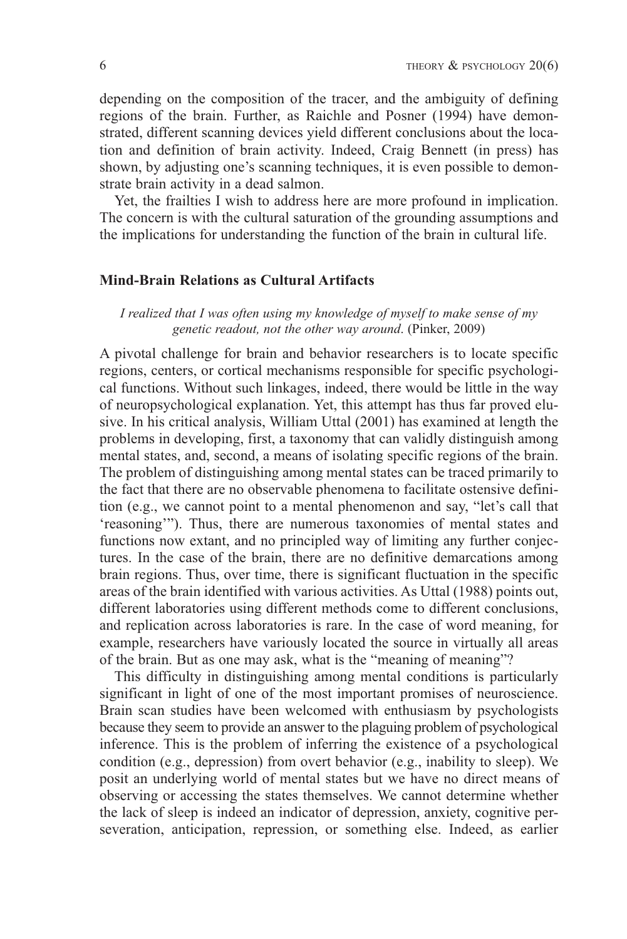depending on the composition of the tracer, and the ambiguity of defining regions of the brain. Further, as Raichle and Posner (1994) have demonstrated, different scanning devices yield different conclusions about the location and definition of brain activity. Indeed, Craig Bennett (in press) has shown, by adjusting one's scanning techniques, it is even possible to demonstrate brain activity in a dead salmon.

Yet, the frailties I wish to address here are more profound in implication. The concern is with the cultural saturation of the grounding assumptions and the implications for understanding the function of the brain in cultural life.

# **Mind-Brain Relations as Cultural Artifacts**

#### *I realized that I was often using my knowledge of myself to make sense of my genetic readout, not the other way around*. (Pinker, 2009)

A pivotal challenge for brain and behavior researchers is to locate specific regions, centers, or cortical mechanisms responsible for specific psychological functions. Without such linkages, indeed, there would be little in the way of neuropsychological explanation. Yet, this attempt has thus far proved elusive. In his critical analysis, William Uttal (2001) has examined at length the problems in developing, first, a taxonomy that can validly distinguish among mental states, and, second, a means of isolating specific regions of the brain. The problem of distinguishing among mental states can be traced primarily to the fact that there are no observable phenomena to facilitate ostensive definition (e.g., we cannot point to a mental phenomenon and say, "let's call that 'reasoning'"). Thus, there are numerous taxonomies of mental states and functions now extant, and no principled way of limiting any further conjectures. In the case of the brain, there are no definitive demarcations among brain regions. Thus, over time, there is significant fluctuation in the specific areas of the brain identified with various activities. As Uttal (1988) points out, different laboratories using different methods come to different conclusions, and replication across laboratories is rare. In the case of word meaning, for example, researchers have variously located the source in virtually all areas of the brain. But as one may ask, what is the "meaning of meaning"?

This difficulty in distinguishing among mental conditions is particularly significant in light of one of the most important promises of neuroscience. Brain scan studies have been welcomed with enthusiasm by psychologists because they seem to provide an answer to the plaguing problem of psychological inference. This is the problem of inferring the existence of a psychological condition (e.g., depression) from overt behavior (e.g., inability to sleep). We posit an underlying world of mental states but we have no direct means of observing or accessing the states themselves. We cannot determine whether the lack of sleep is indeed an indicator of depression, anxiety, cognitive perseveration, anticipation, repression, or something else. Indeed, as earlier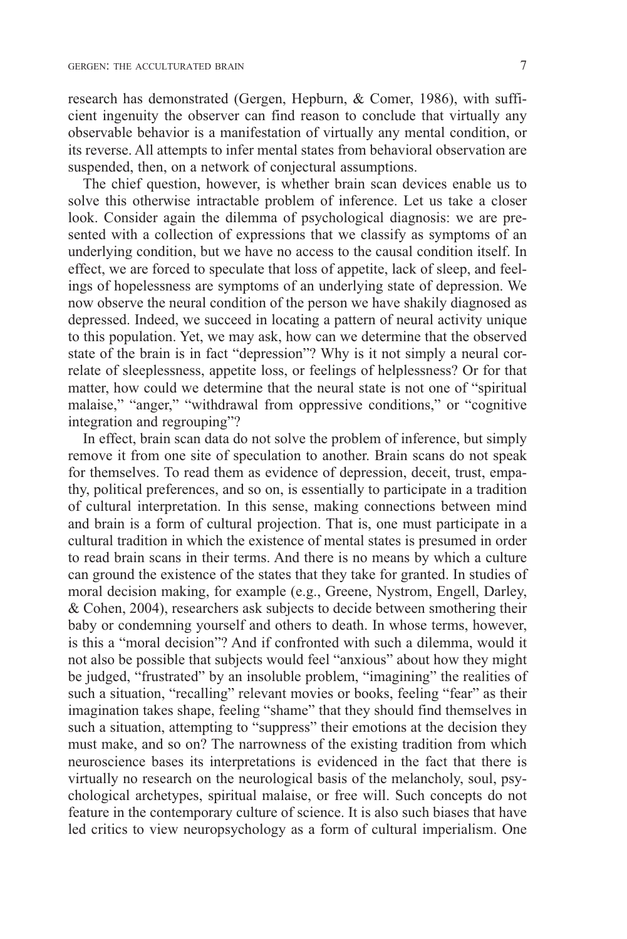research has demonstrated (Gergen, Hepburn, & Comer, 1986), with sufficient ingenuity the observer can find reason to conclude that virtually any observable behavior is a manifestation of virtually any mental condition, or its reverse. All attempts to infer mental states from behavioral observation are suspended, then, on a network of conjectural assumptions.

The chief question, however, is whether brain scan devices enable us to solve this otherwise intractable problem of inference. Let us take a closer look. Consider again the dilemma of psychological diagnosis: we are presented with a collection of expressions that we classify as symptoms of an underlying condition, but we have no access to the causal condition itself. In effect, we are forced to speculate that loss of appetite, lack of sleep, and feelings of hopelessness are symptoms of an underlying state of depression. We now observe the neural condition of the person we have shakily diagnosed as depressed. Indeed, we succeed in locating a pattern of neural activity unique to this population. Yet, we may ask, how can we determine that the observed state of the brain is in fact "depression"? Why is it not simply a neural correlate of sleeplessness, appetite loss, or feelings of helplessness? Or for that matter, how could we determine that the neural state is not one of "spiritual malaise," "anger," "withdrawal from oppressive conditions," or "cognitive integration and regrouping"?

In effect, brain scan data do not solve the problem of inference, but simply remove it from one site of speculation to another. Brain scans do not speak for themselves. To read them as evidence of depression, deceit, trust, empathy, political preferences, and so on, is essentially to participate in a tradition of cultural interpretation. In this sense, making connections between mind and brain is a form of cultural projection. That is, one must participate in a cultural tradition in which the existence of mental states is presumed in order to read brain scans in their terms. And there is no means by which a culture can ground the existence of the states that they take for granted. In studies of moral decision making, for example (e.g., Greene, Nystrom, Engell, Darley, & Cohen, 2004), researchers ask subjects to decide between smothering their baby or condemning yourself and others to death. In whose terms, however, is this a "moral decision"? And if confronted with such a dilemma, would it not also be possible that subjects would feel "anxious" about how they might be judged, "frustrated" by an insoluble problem, "imagining" the realities of such a situation, "recalling" relevant movies or books, feeling "fear" as their imagination takes shape, feeling "shame" that they should find themselves in such a situation, attempting to "suppress" their emotions at the decision they must make, and so on? The narrowness of the existing tradition from which neuroscience bases its interpretations is evidenced in the fact that there is virtually no research on the neurological basis of the melancholy, soul, psychological archetypes, spiritual malaise, or free will. Such concepts do not feature in the contemporary culture of science. It is also such biases that have led critics to view neuropsychology as a form of cultural imperialism. One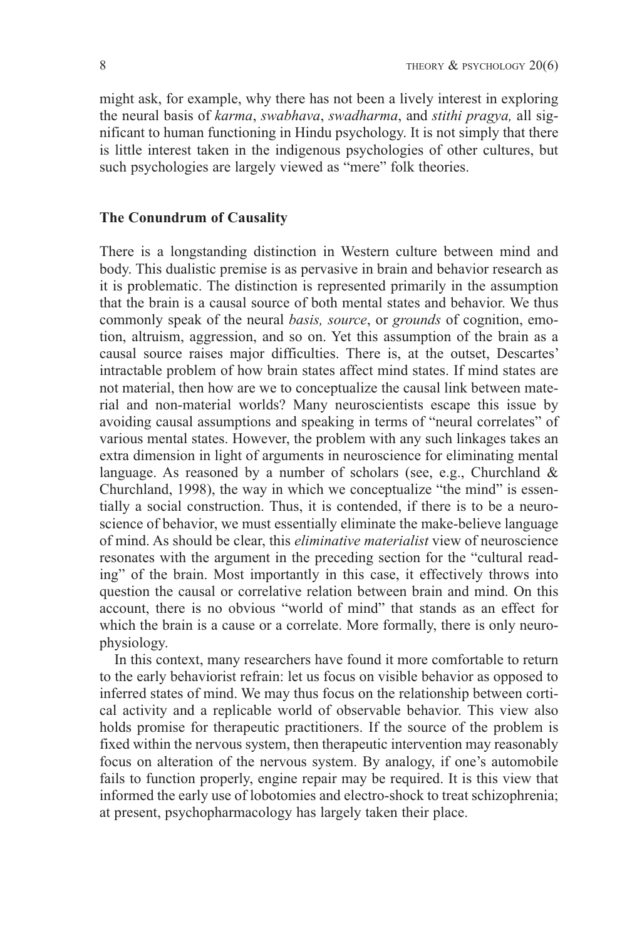might ask, for example, why there has not been a lively interest in exploring the neural basis of *karma*, *swabhava*, *swadharma*, and *stithi pragya,* all significant to human functioning in Hindu psychology. It is not simply that there is little interest taken in the indigenous psychologies of other cultures, but such psychologies are largely viewed as "mere" folk theories.

#### **The Conundrum of Causality**

There is a longstanding distinction in Western culture between mind and body. This dualistic premise is as pervasive in brain and behavior research as it is problematic. The distinction is represented primarily in the assumption that the brain is a causal source of both mental states and behavior. We thus commonly speak of the neural *basis, source*, or *grounds* of cognition, emotion, altruism, aggression, and so on. Yet this assumption of the brain as a causal source raises major difficulties. There is, at the outset, Descartes' intractable problem of how brain states affect mind states. If mind states are not material, then how are we to conceptualize the causal link between material and non-material worlds? Many neuroscientists escape this issue by avoiding causal assumptions and speaking in terms of "neural correlates" of various mental states. However, the problem with any such linkages takes an extra dimension in light of arguments in neuroscience for eliminating mental language. As reasoned by a number of scholars (see, e.g., Churchland  $\&$ Churchland, 1998), the way in which we conceptualize "the mind" is essentially a social construction. Thus, it is contended, if there is to be a neuroscience of behavior, we must essentially eliminate the make-believe language of mind. As should be clear, this *eliminative materialist* view of neuroscience resonates with the argument in the preceding section for the "cultural reading" of the brain. Most importantly in this case, it effectively throws into question the causal or correlative relation between brain and mind. On this account, there is no obvious "world of mind" that stands as an effect for which the brain is a cause or a correlate. More formally, there is only neurophysiology.

In this context, many researchers have found it more comfortable to return to the early behaviorist refrain: let us focus on visible behavior as opposed to inferred states of mind. We may thus focus on the relationship between cortical activity and a replicable world of observable behavior. This view also holds promise for therapeutic practitioners. If the source of the problem is fixed within the nervous system, then therapeutic intervention may reasonably focus on alteration of the nervous system. By analogy, if one's automobile fails to function properly, engine repair may be required. It is this view that informed the early use of lobotomies and electro-shock to treat schizophrenia; at present, psychopharmacology has largely taken their place.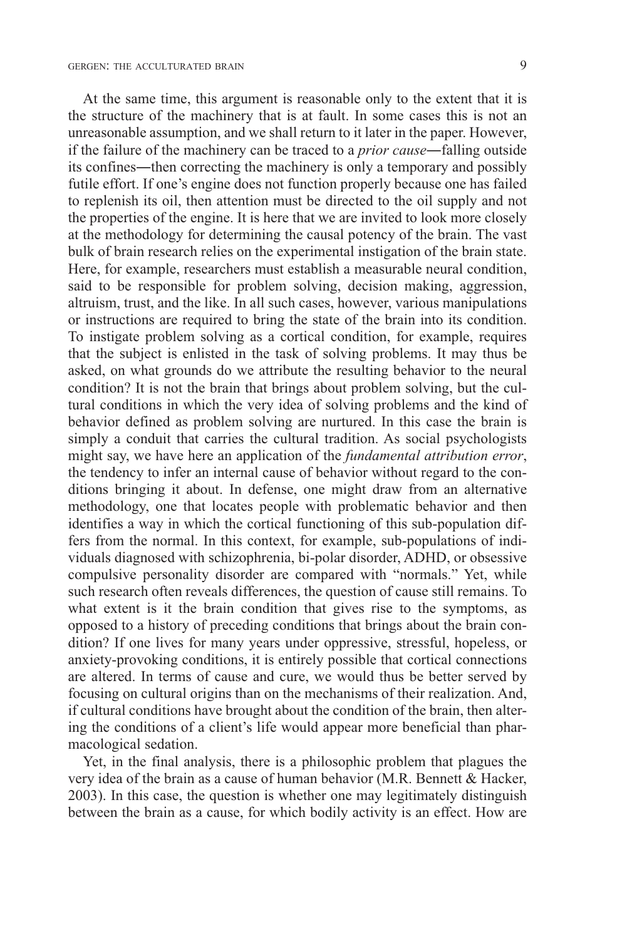At the same time, this argument is reasonable only to the extent that it is the structure of the machinery that is at fault. In some cases this is not an unreasonable assumption, and we shall return to it later in the paper. However, if the failure of the machinery can be traced to a *prior cause*―falling outside its confines―then correcting the machinery is only a temporary and possibly futile effort. If one's engine does not function properly because one has failed to replenish its oil, then attention must be directed to the oil supply and not the properties of the engine. It is here that we are invited to look more closely at the methodology for determining the causal potency of the brain. The vast bulk of brain research relies on the experimental instigation of the brain state. Here, for example, researchers must establish a measurable neural condition, said to be responsible for problem solving, decision making, aggression, altruism, trust, and the like. In all such cases, however, various manipulations or instructions are required to bring the state of the brain into its condition. To instigate problem solving as a cortical condition, for example, requires that the subject is enlisted in the task of solving problems. It may thus be asked, on what grounds do we attribute the resulting behavior to the neural condition? It is not the brain that brings about problem solving, but the cultural conditions in which the very idea of solving problems and the kind of behavior defined as problem solving are nurtured. In this case the brain is simply a conduit that carries the cultural tradition. As social psychologists might say, we have here an application of the *fundamental attribution error*, the tendency to infer an internal cause of behavior without regard to the conditions bringing it about. In defense, one might draw from an alternative methodology, one that locates people with problematic behavior and then identifies a way in which the cortical functioning of this sub-population differs from the normal. In this context, for example, sub-populations of individuals diagnosed with schizophrenia, bi-polar disorder, ADHD, or obsessive compulsive personality disorder are compared with "normals." Yet, while such research often reveals differences, the question of cause still remains. To what extent is it the brain condition that gives rise to the symptoms, as opposed to a history of preceding conditions that brings about the brain condition? If one lives for many years under oppressive, stressful, hopeless, or anxiety-provoking conditions, it is entirely possible that cortical connections are altered. In terms of cause and cure, we would thus be better served by focusing on cultural origins than on the mechanisms of their realization. And, if cultural conditions have brought about the condition of the brain, then altering the conditions of a client's life would appear more beneficial than pharmacological sedation.

Yet, in the final analysis, there is a philosophic problem that plagues the very idea of the brain as a cause of human behavior (M.R. Bennett & Hacker, 2003). In this case, the question is whether one may legitimately distinguish between the brain as a cause, for which bodily activity is an effect. How are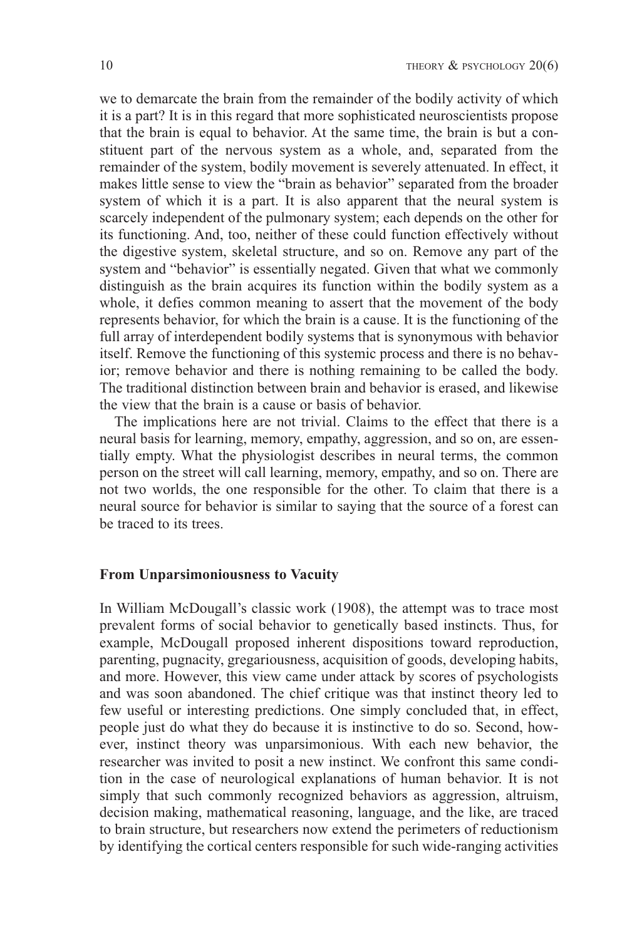we to demarcate the brain from the remainder of the bodily activity of which it is a part? It is in this regard that more sophisticated neuroscientists propose that the brain is equal to behavior. At the same time, the brain is but a constituent part of the nervous system as a whole, and, separated from the remainder of the system, bodily movement is severely attenuated. In effect, it makes little sense to view the "brain as behavior" separated from the broader system of which it is a part. It is also apparent that the neural system is scarcely independent of the pulmonary system; each depends on the other for its functioning. And, too, neither of these could function effectively without the digestive system, skeletal structure, and so on. Remove any part of the system and "behavior" is essentially negated. Given that what we commonly distinguish as the brain acquires its function within the bodily system as a whole, it defies common meaning to assert that the movement of the body represents behavior, for which the brain is a cause. It is the functioning of the full array of interdependent bodily systems that is synonymous with behavior itself. Remove the functioning of this systemic process and there is no behavior; remove behavior and there is nothing remaining to be called the body. The traditional distinction between brain and behavior is erased, and likewise the view that the brain is a cause or basis of behavior.

The implications here are not trivial. Claims to the effect that there is a neural basis for learning, memory, empathy, aggression, and so on, are essentially empty. What the physiologist describes in neural terms, the common person on the street will call learning, memory, empathy, and so on. There are not two worlds, the one responsible for the other. To claim that there is a neural source for behavior is similar to saying that the source of a forest can be traced to its trees.

#### **From Unparsimoniousness to Vacuity**

In William McDougall's classic work (1908), the attempt was to trace most prevalent forms of social behavior to genetically based instincts. Thus, for example, McDougall proposed inherent dispositions toward reproduction, parenting, pugnacity, gregariousness, acquisition of goods, developing habits, and more. However, this view came under attack by scores of psychologists and was soon abandoned. The chief critique was that instinct theory led to few useful or interesting predictions. One simply concluded that, in effect, people just do what they do because it is instinctive to do so. Second, however, instinct theory was unparsimonious. With each new behavior, the researcher was invited to posit a new instinct. We confront this same condition in the case of neurological explanations of human behavior. It is not simply that such commonly recognized behaviors as aggression, altruism, decision making, mathematical reasoning, language, and the like, are traced to brain structure, but researchers now extend the perimeters of reductionism by identifying the cortical centers responsible for such wide-ranging activities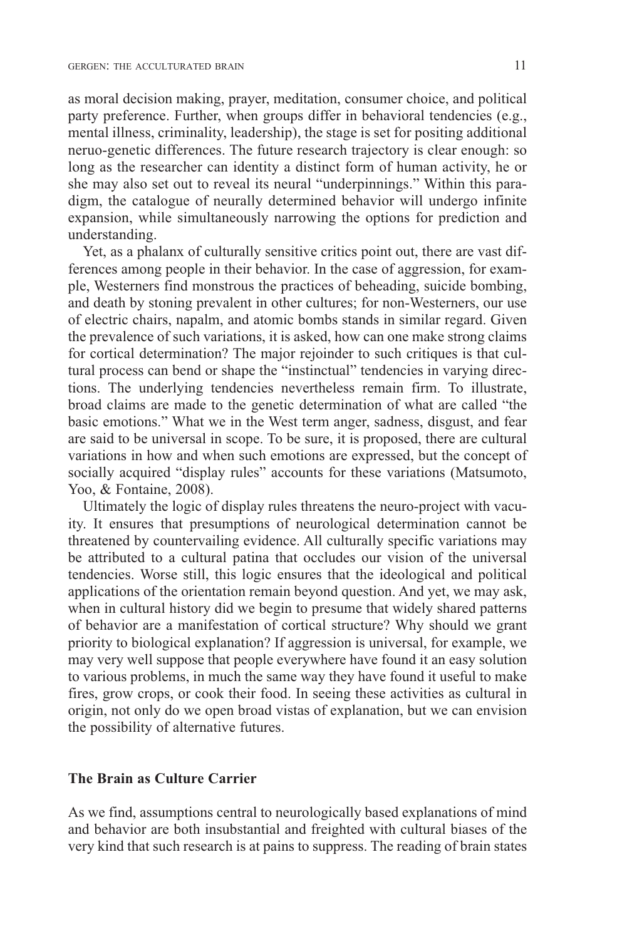as moral decision making, prayer, meditation, consumer choice, and political party preference. Further, when groups differ in behavioral tendencies (e.g., mental illness, criminality, leadership), the stage is set for positing additional neruo-genetic differences. The future research trajectory is clear enough: so long as the researcher can identity a distinct form of human activity, he or she may also set out to reveal its neural "underpinnings." Within this paradigm, the catalogue of neurally determined behavior will undergo infinite expansion, while simultaneously narrowing the options for prediction and understanding.

Yet, as a phalanx of culturally sensitive critics point out, there are vast differences among people in their behavior. In the case of aggression, for example, Westerners find monstrous the practices of beheading, suicide bombing, and death by stoning prevalent in other cultures; for non-Westerners, our use of electric chairs, napalm, and atomic bombs stands in similar regard. Given the prevalence of such variations, it is asked, how can one make strong claims for cortical determination? The major rejoinder to such critiques is that cultural process can bend or shape the "instinctual" tendencies in varying directions. The underlying tendencies nevertheless remain firm. To illustrate, broad claims are made to the genetic determination of what are called "the basic emotions." What we in the West term anger, sadness, disgust, and fear are said to be universal in scope. To be sure, it is proposed, there are cultural variations in how and when such emotions are expressed, but the concept of socially acquired "display rules" accounts for these variations (Matsumoto, Yoo, & Fontaine, 2008).

Ultimately the logic of display rules threatens the neuro-project with vacuity. It ensures that presumptions of neurological determination cannot be threatened by countervailing evidence. All culturally specific variations may be attributed to a cultural patina that occludes our vision of the universal tendencies. Worse still, this logic ensures that the ideological and political applications of the orientation remain beyond question. And yet, we may ask, when in cultural history did we begin to presume that widely shared patterns of behavior are a manifestation of cortical structure? Why should we grant priority to biological explanation? If aggression is universal, for example, we may very well suppose that people everywhere have found it an easy solution to various problems, in much the same way they have found it useful to make fires, grow crops, or cook their food. In seeing these activities as cultural in origin, not only do we open broad vistas of explanation, but we can envision the possibility of alternative futures.

#### **The Brain as Culture Carrier**

As we find, assumptions central to neurologically based explanations of mind and behavior are both insubstantial and freighted with cultural biases of the very kind that such research is at pains to suppress. The reading of brain states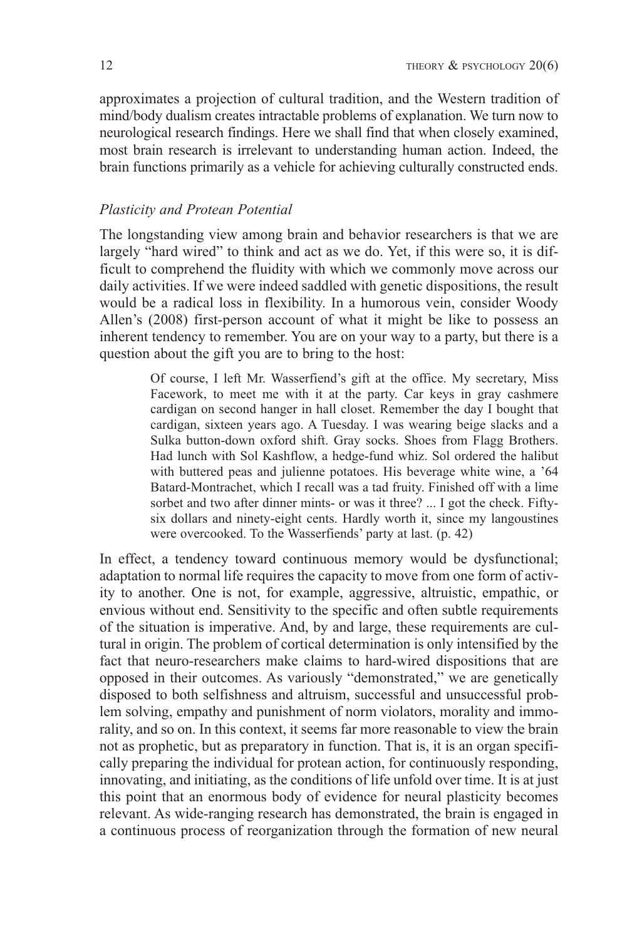approximates a projection of cultural tradition, and the Western tradition of mind/body dualism creates intractable problems of explanation. We turn now to neurological research findings. Here we shall find that when closely examined, most brain research is irrelevant to understanding human action. Indeed, the brain functions primarily as a vehicle for achieving culturally constructed ends.

#### *Plasticity and Protean Potential*

The longstanding view among brain and behavior researchers is that we are largely "hard wired" to think and act as we do. Yet, if this were so, it is difficult to comprehend the fluidity with which we commonly move across our daily activities. If we were indeed saddled with genetic dispositions, the result would be a radical loss in flexibility. In a humorous vein, consider Woody Allen's (2008) first-person account of what it might be like to possess an inherent tendency to remember. You are on your way to a party, but there is a question about the gift you are to bring to the host:

> Of course, I left Mr. Wasserfiend's gift at the office. My secretary, Miss Facework, to meet me with it at the party. Car keys in gray cashmere cardigan on second hanger in hall closet. Remember the day I bought that cardigan, sixteen years ago. A Tuesday. I was wearing beige slacks and a Sulka button-down oxford shift. Gray socks. Shoes from Flagg Brothers. Had lunch with Sol Kashflow, a hedge-fund whiz. Sol ordered the halibut with buttered peas and julienne potatoes. His beverage white wine, a '64 Batard-Montrachet, which I recall was a tad fruity. Finished off with a lime sorbet and two after dinner mints- or was it three? ... I got the check. Fiftysix dollars and ninety-eight cents. Hardly worth it, since my langoustines were overcooked. To the Wasserfiends' party at last. (p. 42)

In effect, a tendency toward continuous memory would be dysfunctional; adaptation to normal life requires the capacity to move from one form of activity to another. One is not, for example, aggressive, altruistic, empathic, or envious without end. Sensitivity to the specific and often subtle requirements of the situation is imperative. And, by and large, these requirements are cultural in origin. The problem of cortical determination is only intensified by the fact that neuro-researchers make claims to hard-wired dispositions that are opposed in their outcomes. As variously "demonstrated," we are genetically disposed to both selfishness and altruism, successful and unsuccessful problem solving, empathy and punishment of norm violators, morality and immorality, and so on. In this context, it seems far more reasonable to view the brain not as prophetic, but as preparatory in function. That is, it is an organ specifically preparing the individual for protean action, for continuously responding, innovating, and initiating, as the conditions of life unfold over time. It is at just this point that an enormous body of evidence for neural plasticity becomes relevant. As wide-ranging research has demonstrated, the brain is engaged in a continuous process of reorganization through the formation of new neural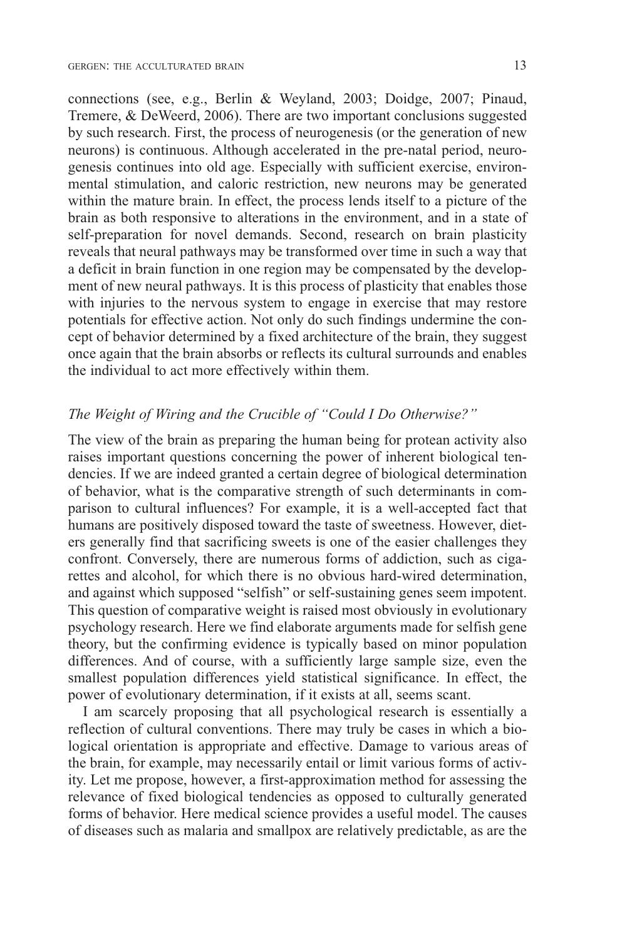connections (see, e.g., Berlin & Weyland, 2003; Doidge, 2007; Pinaud, Tremere, & DeWeerd, 2006). There are two important conclusions suggested by such research. First, the process of neurogenesis (or the generation of new neurons) is continuous. Although accelerated in the pre-natal period, neurogenesis continues into old age. Especially with sufficient exercise, environmental stimulation, and caloric restriction, new neurons may be generated within the mature brain. In effect, the process lends itself to a picture of the brain as both responsive to alterations in the environment, and in a state of self-preparation for novel demands. Second, research on brain plasticity reveals that neural pathways may be transformed over time in such a way that a deficit in brain function in one region may be compensated by the development of new neural pathways. It is this process of plasticity that enables those with injuries to the nervous system to engage in exercise that may restore potentials for effective action. Not only do such findings undermine the concept of behavior determined by a fixed architecture of the brain, they suggest once again that the brain absorbs or reflects its cultural surrounds and enables the individual to act more effectively within them.

# *The Weight of Wiring and the Crucible of "Could I Do Otherwise?"*

The view of the brain as preparing the human being for protean activity also raises important questions concerning the power of inherent biological tendencies. If we are indeed granted a certain degree of biological determination of behavior, what is the comparative strength of such determinants in comparison to cultural influences? For example, it is a well-accepted fact that humans are positively disposed toward the taste of sweetness. However, dieters generally find that sacrificing sweets is one of the easier challenges they confront. Conversely, there are numerous forms of addiction, such as cigarettes and alcohol, for which there is no obvious hard-wired determination, and against which supposed "selfish" or self-sustaining genes seem impotent. This question of comparative weight is raised most obviously in evolutionary psychology research. Here we find elaborate arguments made for selfish gene theory, but the confirming evidence is typically based on minor population differences. And of course, with a sufficiently large sample size, even the smallest population differences yield statistical significance. In effect, the power of evolutionary determination, if it exists at all, seems scant.

I am scarcely proposing that all psychological research is essentially a reflection of cultural conventions. There may truly be cases in which a biological orientation is appropriate and effective. Damage to various areas of the brain, for example, may necessarily entail or limit various forms of activity. Let me propose, however, a first-approximation method for assessing the relevance of fixed biological tendencies as opposed to culturally generated forms of behavior. Here medical science provides a useful model. The causes of diseases such as malaria and smallpox are relatively predictable, as are the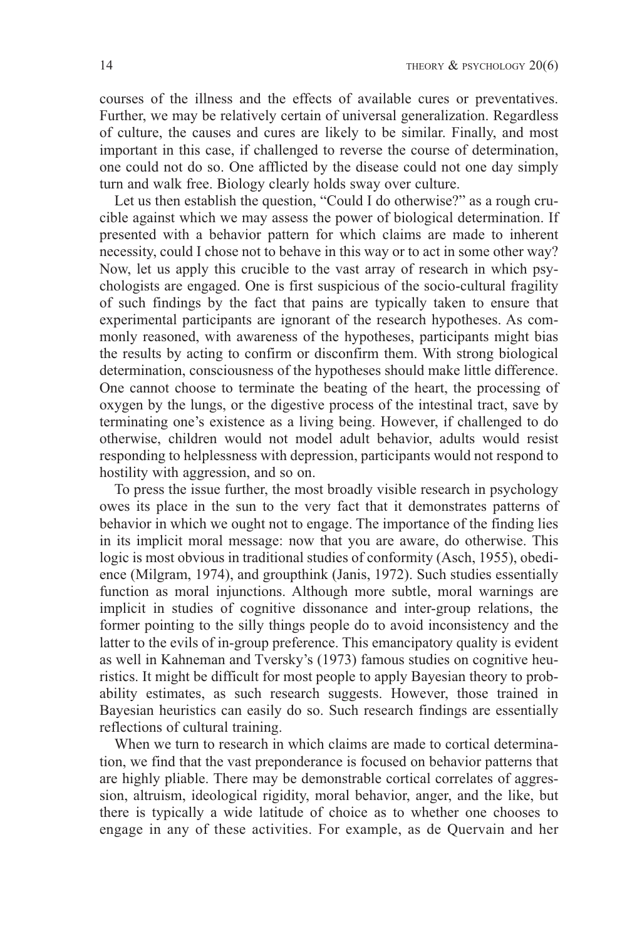courses of the illness and the effects of available cures or preventatives. Further, we may be relatively certain of universal generalization. Regardless of culture, the causes and cures are likely to be similar. Finally, and most important in this case, if challenged to reverse the course of determination, one could not do so. One afflicted by the disease could not one day simply turn and walk free. Biology clearly holds sway over culture.

Let us then establish the question, "Could I do otherwise?" as a rough crucible against which we may assess the power of biological determination. If presented with a behavior pattern for which claims are made to inherent necessity, could I chose not to behave in this way or to act in some other way? Now, let us apply this crucible to the vast array of research in which psychologists are engaged. One is first suspicious of the socio-cultural fragility of such findings by the fact that pains are typically taken to ensure that experimental participants are ignorant of the research hypotheses. As commonly reasoned, with awareness of the hypotheses, participants might bias the results by acting to confirm or disconfirm them. With strong biological determination, consciousness of the hypotheses should make little difference. One cannot choose to terminate the beating of the heart, the processing of oxygen by the lungs, or the digestive process of the intestinal tract, save by terminating one's existence as a living being. However, if challenged to do otherwise, children would not model adult behavior, adults would resist responding to helplessness with depression, participants would not respond to hostility with aggression, and so on.

To press the issue further, the most broadly visible research in psychology owes its place in the sun to the very fact that it demonstrates patterns of behavior in which we ought not to engage. The importance of the finding lies in its implicit moral message: now that you are aware, do otherwise. This logic is most obvious in traditional studies of conformity (Asch, 1955), obedience (Milgram, 1974), and groupthink (Janis, 1972). Such studies essentially function as moral injunctions. Although more subtle, moral warnings are implicit in studies of cognitive dissonance and inter-group relations, the former pointing to the silly things people do to avoid inconsistency and the latter to the evils of in-group preference. This emancipatory quality is evident as well in Kahneman and Tversky's (1973) famous studies on cognitive heuristics. It might be difficult for most people to apply Bayesian theory to probability estimates, as such research suggests. However, those trained in Bayesian heuristics can easily do so. Such research findings are essentially reflections of cultural training.

When we turn to research in which claims are made to cortical determination, we find that the vast preponderance is focused on behavior patterns that are highly pliable. There may be demonstrable cortical correlates of aggression, altruism, ideological rigidity, moral behavior, anger, and the like, but there is typically a wide latitude of choice as to whether one chooses to engage in any of these activities. For example, as de Quervain and her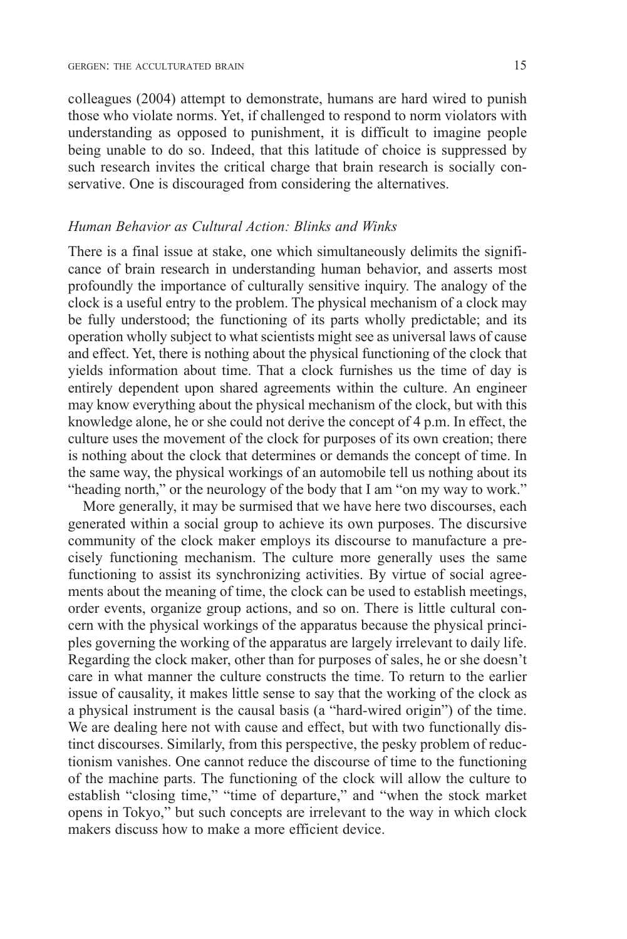colleagues (2004) attempt to demonstrate, humans are hard wired to punish those who violate norms. Yet, if challenged to respond to norm violators with understanding as opposed to punishment, it is difficult to imagine people being unable to do so. Indeed, that this latitude of choice is suppressed by such research invites the critical charge that brain research is socially conservative. One is discouraged from considering the alternatives.

# *Human Behavior as Cultural Action: Blinks and Winks*

There is a final issue at stake, one which simultaneously delimits the significance of brain research in understanding human behavior, and asserts most profoundly the importance of culturally sensitive inquiry. The analogy of the clock is a useful entry to the problem. The physical mechanism of a clock may be fully understood; the functioning of its parts wholly predictable; and its operation wholly subject to what scientists might see as universal laws of cause and effect. Yet, there is nothing about the physical functioning of the clock that yields information about time. That a clock furnishes us the time of day is entirely dependent upon shared agreements within the culture. An engineer may know everything about the physical mechanism of the clock, but with this knowledge alone, he or she could not derive the concept of 4 p.m. In effect, the culture uses the movement of the clock for purposes of its own creation; there is nothing about the clock that determines or demands the concept of time. In the same way, the physical workings of an automobile tell us nothing about its "heading north," or the neurology of the body that I am "on my way to work."

More generally, it may be surmised that we have here two discourses, each generated within a social group to achieve its own purposes. The discursive community of the clock maker employs its discourse to manufacture a precisely functioning mechanism. The culture more generally uses the same functioning to assist its synchronizing activities. By virtue of social agreements about the meaning of time, the clock can be used to establish meetings, order events, organize group actions, and so on. There is little cultural concern with the physical workings of the apparatus because the physical principles governing the working of the apparatus are largely irrelevant to daily life. Regarding the clock maker, other than for purposes of sales, he or she doesn't care in what manner the culture constructs the time. To return to the earlier issue of causality, it makes little sense to say that the working of the clock as a physical instrument is the causal basis (a "hard-wired origin") of the time. We are dealing here not with cause and effect, but with two functionally distinct discourses. Similarly, from this perspective, the pesky problem of reductionism vanishes. One cannot reduce the discourse of time to the functioning of the machine parts. The functioning of the clock will allow the culture to establish "closing time," "time of departure," and "when the stock market opens in Tokyo," but such concepts are irrelevant to the way in which clock makers discuss how to make a more efficient device.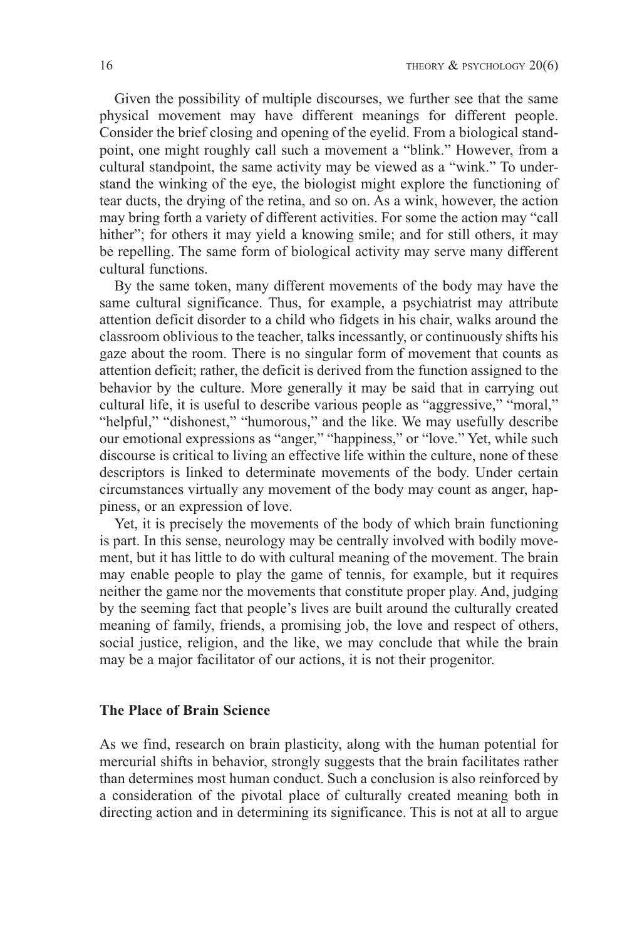Given the possibility of multiple discourses, we further see that the same physical movement may have different meanings for different people. Consider the brief closing and opening of the eyelid. From a biological standpoint, one might roughly call such a movement a "blink." However, from a cultural standpoint, the same activity may be viewed as a "wink." To understand the winking of the eye, the biologist might explore the functioning of tear ducts, the drying of the retina, and so on. As a wink, however, the action may bring forth a variety of different activities. For some the action may "call hither"; for others it may yield a knowing smile; and for still others, it may be repelling. The same form of biological activity may serve many different cultural functions.

By the same token, many different movements of the body may have the same cultural significance. Thus, for example, a psychiatrist may attribute attention deficit disorder to a child who fidgets in his chair, walks around the classroom oblivious to the teacher, talks incessantly, or continuously shifts his gaze about the room. There is no singular form of movement that counts as attention deficit; rather, the deficit is derived from the function assigned to the behavior by the culture. More generally it may be said that in carrying out cultural life, it is useful to describe various people as "aggressive," "moral," "helpful," "dishonest," "humorous," and the like. We may usefully describe our emotional expressions as "anger," "happiness," or "love." Yet, while such discourse is critical to living an effective life within the culture, none of these descriptors is linked to determinate movements of the body. Under certain circumstances virtually any movement of the body may count as anger, happiness, or an expression of love.

Yet, it is precisely the movements of the body of which brain functioning is part. In this sense, neurology may be centrally involved with bodily movement, but it has little to do with cultural meaning of the movement. The brain may enable people to play the game of tennis, for example, but it requires neither the game nor the movements that constitute proper play. And, judging by the seeming fact that people's lives are built around the culturally created meaning of family, friends, a promising job, the love and respect of others, social justice, religion, and the like, we may conclude that while the brain may be a major facilitator of our actions, it is not their progenitor.

#### **The Place of Brain Science**

As we find, research on brain plasticity, along with the human potential for mercurial shifts in behavior, strongly suggests that the brain facilitates rather than determines most human conduct. Such a conclusion is also reinforced by a consideration of the pivotal place of culturally created meaning both in directing action and in determining its significance. This is not at all to argue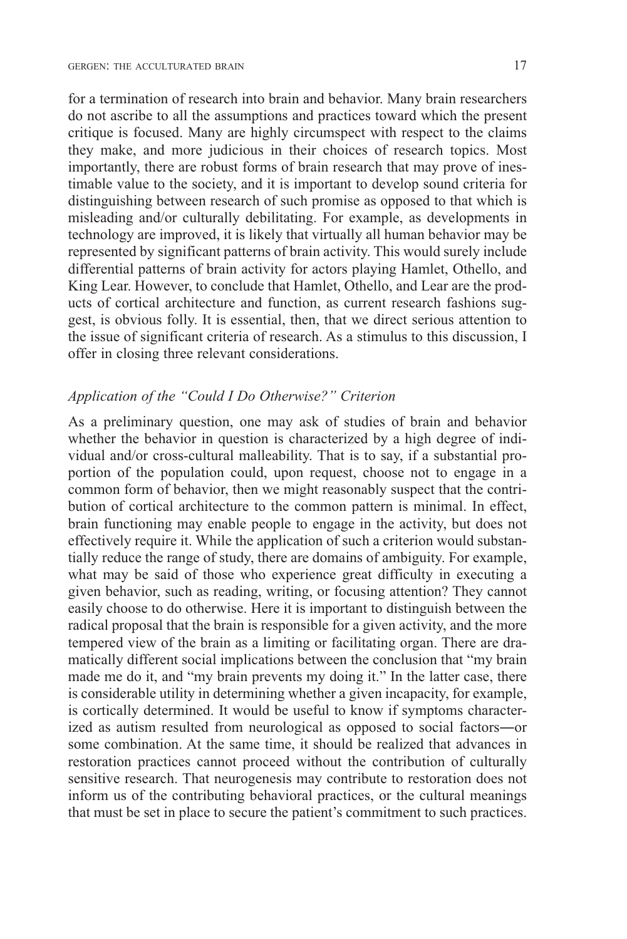for a termination of research into brain and behavior. Many brain researchers do not ascribe to all the assumptions and practices toward which the present critique is focused. Many are highly circumspect with respect to the claims they make, and more judicious in their choices of research topics. Most importantly, there are robust forms of brain research that may prove of inestimable value to the society, and it is important to develop sound criteria for distinguishing between research of such promise as opposed to that which is misleading and/or culturally debilitating. For example, as developments in technology are improved, it is likely that virtually all human behavior may be represented by significant patterns of brain activity. This would surely include differential patterns of brain activity for actors playing Hamlet, Othello, and King Lear. However, to conclude that Hamlet, Othello, and Lear are the products of cortical architecture and function, as current research fashions suggest, is obvious folly. It is essential, then, that we direct serious attention to the issue of significant criteria of research. As a stimulus to this discussion, I offer in closing three relevant considerations.

# *Application of the "Could I Do Otherwise?" Criterion*

As a preliminary question, one may ask of studies of brain and behavior whether the behavior in question is characterized by a high degree of individual and/or cross-cultural malleability. That is to say, if a substantial proportion of the population could, upon request, choose not to engage in a common form of behavior, then we might reasonably suspect that the contribution of cortical architecture to the common pattern is minimal. In effect, brain functioning may enable people to engage in the activity, but does not effectively require it. While the application of such a criterion would substantially reduce the range of study, there are domains of ambiguity. For example, what may be said of those who experience great difficulty in executing a given behavior, such as reading, writing, or focusing attention? They cannot easily choose to do otherwise. Here it is important to distinguish between the radical proposal that the brain is responsible for a given activity, and the more tempered view of the brain as a limiting or facilitating organ. There are dramatically different social implications between the conclusion that "my brain made me do it, and "my brain prevents my doing it." In the latter case, there is considerable utility in determining whether a given incapacity, for example, is cortically determined. It would be useful to know if symptoms characterized as autism resulted from neurological as opposed to social factors―or some combination. At the same time, it should be realized that advances in restoration practices cannot proceed without the contribution of culturally sensitive research. That neurogenesis may contribute to restoration does not inform us of the contributing behavioral practices, or the cultural meanings that must be set in place to secure the patient's commitment to such practices.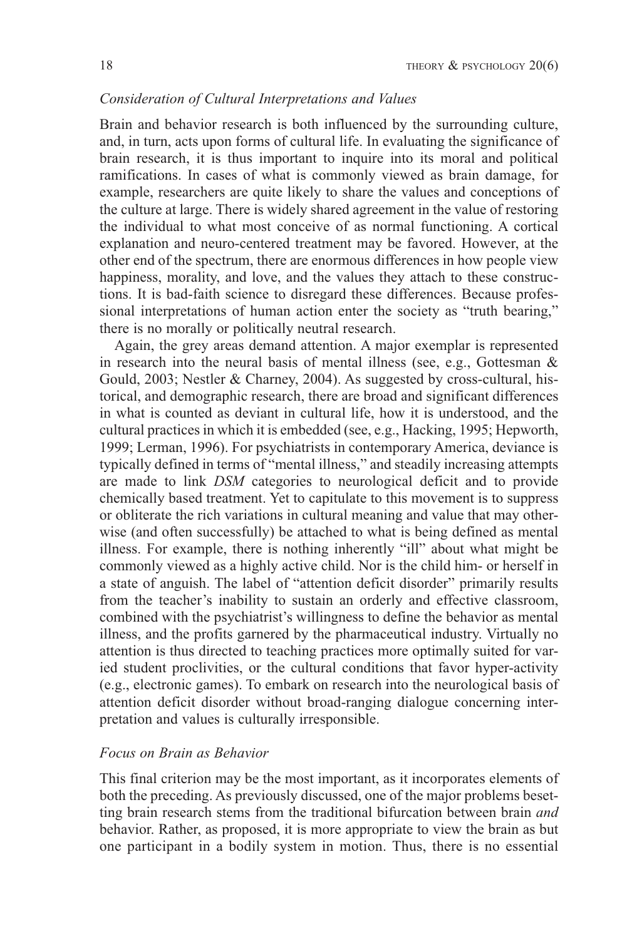#### *Consideration of Cultural Interpretations and Values*

Brain and behavior research is both influenced by the surrounding culture, and, in turn, acts upon forms of cultural life. In evaluating the significance of brain research, it is thus important to inquire into its moral and political ramifications. In cases of what is commonly viewed as brain damage, for example, researchers are quite likely to share the values and conceptions of the culture at large. There is widely shared agreement in the value of restoring the individual to what most conceive of as normal functioning. A cortical explanation and neuro-centered treatment may be favored. However, at the other end of the spectrum, there are enormous differences in how people view happiness, morality, and love, and the values they attach to these constructions. It is bad-faith science to disregard these differences. Because professional interpretations of human action enter the society as "truth bearing," there is no morally or politically neutral research.

Again, the grey areas demand attention. A major exemplar is represented in research into the neural basis of mental illness (see, e.g., Gottesman  $\&$ Gould, 2003; Nestler & Charney, 2004). As suggested by cross-cultural, historical, and demographic research, there are broad and significant differences in what is counted as deviant in cultural life, how it is understood, and the cultural practices in which it is embedded (see, e.g., Hacking, 1995; Hepworth, 1999; Lerman, 1996). For psychiatrists in contemporary America, deviance is typically defined in terms of "mental illness," and steadily increasing attempts are made to link *DSM* categories to neurological deficit and to provide chemically based treatment. Yet to capitulate to this movement is to suppress or obliterate the rich variations in cultural meaning and value that may otherwise (and often successfully) be attached to what is being defined as mental illness. For example, there is nothing inherently "ill" about what might be commonly viewed as a highly active child. Nor is the child him- or herself in a state of anguish. The label of "attention deficit disorder" primarily results from the teacher's inability to sustain an orderly and effective classroom, combined with the psychiatrist's willingness to define the behavior as mental illness, and the profits garnered by the pharmaceutical industry. Virtually no attention is thus directed to teaching practices more optimally suited for varied student proclivities, or the cultural conditions that favor hyper-activity (e.g., electronic games). To embark on research into the neurological basis of attention deficit disorder without broad-ranging dialogue concerning interpretation and values is culturally irresponsible.

#### *Focus on Brain as Behavior*

This final criterion may be the most important, as it incorporates elements of both the preceding. As previously discussed, one of the major problems besetting brain research stems from the traditional bifurcation between brain *and* behavior. Rather, as proposed, it is more appropriate to view the brain as but one participant in a bodily system in motion. Thus, there is no essential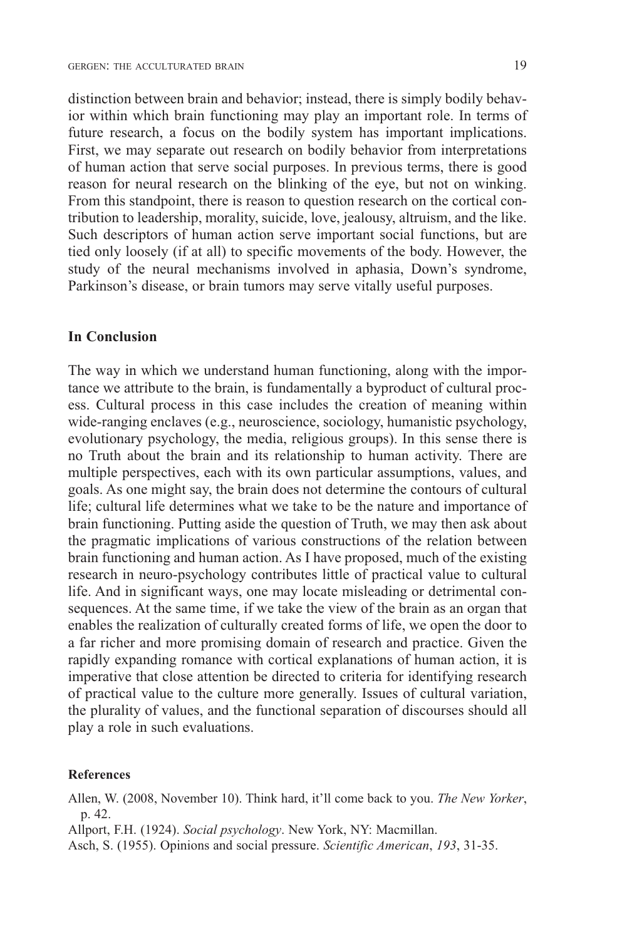distinction between brain and behavior; instead, there is simply bodily behavior within which brain functioning may play an important role. In terms of future research, a focus on the bodily system has important implications. First, we may separate out research on bodily behavior from interpretations of human action that serve social purposes. In previous terms, there is good reason for neural research on the blinking of the eye, but not on winking. From this standpoint, there is reason to question research on the cortical contribution to leadership, morality, suicide, love, jealousy, altruism, and the like. Such descriptors of human action serve important social functions, but are tied only loosely (if at all) to specific movements of the body. However, the study of the neural mechanisms involved in aphasia, Down's syndrome, Parkinson's disease, or brain tumors may serve vitally useful purposes.

# **In Conclusion**

The way in which we understand human functioning, along with the importance we attribute to the brain, is fundamentally a byproduct of cultural process. Cultural process in this case includes the creation of meaning within wide-ranging enclaves (e.g., neuroscience, sociology, humanistic psychology, evolutionary psychology, the media, religious groups). In this sense there is no Truth about the brain and its relationship to human activity. There are multiple perspectives, each with its own particular assumptions, values, and goals. As one might say, the brain does not determine the contours of cultural life; cultural life determines what we take to be the nature and importance of brain functioning. Putting aside the question of Truth, we may then ask about the pragmatic implications of various constructions of the relation between brain functioning and human action. As I have proposed, much of the existing research in neuro-psychology contributes little of practical value to cultural life. And in significant ways, one may locate misleading or detrimental consequences. At the same time, if we take the view of the brain as an organ that enables the realization of culturally created forms of life, we open the door to a far richer and more promising domain of research and practice. Given the rapidly expanding romance with cortical explanations of human action, it is imperative that close attention be directed to criteria for identifying research of practical value to the culture more generally. Issues of cultural variation, the plurality of values, and the functional separation of discourses should all play a role in such evaluations.

#### **References**

Allen, W. (2008, November 10). Think hard, it'll come back to you. *The New Yorker*, p. 42.

Allport, F.H. (1924). *Social psychology*. New York, NY: Macmillan.

Asch, S. (1955). Opinions and social pressure. *Scientific American*, *193*, 31-35.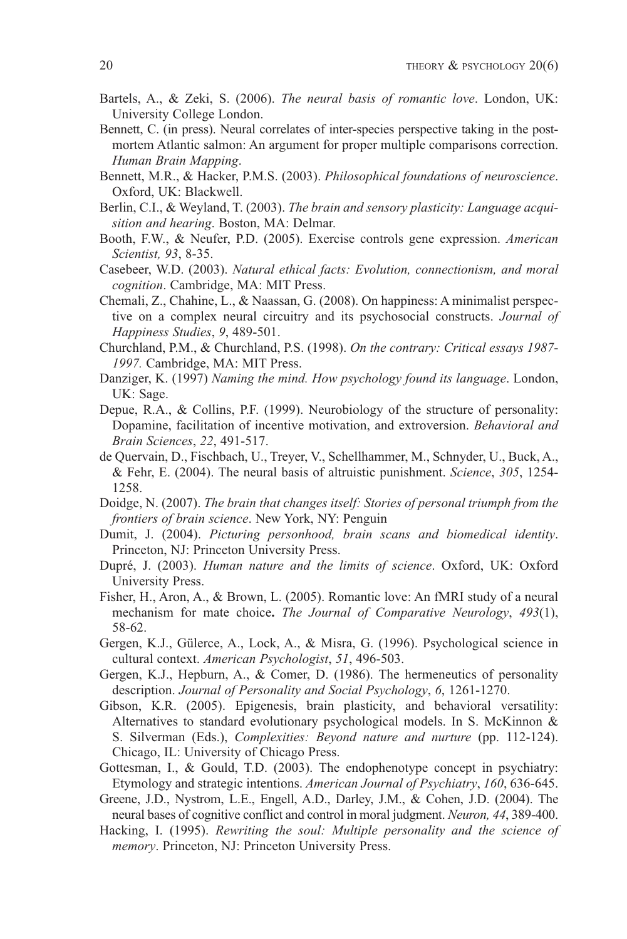- Bartels, A., & Zeki, S. (2006). *The neural basis of romantic love*. London, UK: University College London.
- Bennett, C. (in press). Neural correlates of inter-species perspective taking in the postmortem Atlantic salmon: An argument for proper multiple comparisons correction. *Human Brain Mapping*.
- Bennett, M.R., & Hacker, P.M.S. (2003). *Philosophical foundations of neuroscience*. Oxford, UK: Blackwell.
- Berlin, C.I., & Weyland, T. (2003). *The brain and sensory plasticity: Language acquisition and hearing*. Boston, MA: Delmar.
- Booth, F.W., & Neufer, P.D. (2005). Exercise controls gene expression. *American Scientist, 93*, 8-35.
- Casebeer, W.D. (2003). *Natural ethical facts: Evolution, connectionism, and moral cognition*. Cambridge, MA: MIT Press.
- Chemali, Z., Chahine, L., & Naassan, G. (2008). On happiness: A minimalist perspective on a complex neural circuitry and its psychosocial constructs. *Journal of Happiness Studies*, *9*, 489-501.
- Churchland, P.M., & Churchland, P.S. (1998). *On the contrary: Critical essays 1987 1997.* Cambridge, MA: MIT Press.
- Danziger, K. (1997) *Naming the mind. How psychology found its language*. London, UK: Sage.
- Depue, R.A., & Collins, P.F. (1999). Neurobiology of the structure of personality: Dopamine, facilitation of incentive motivation, and extroversion. *Behavioral and Brain Sciences*, *22*, 491-517.
- de Quervain, D., Fischbach, U., Treyer, V., Schellhammer, M., Schnyder, U., Buck, A., & Fehr, E. (2004). The neural basis of altruistic punishment. *Science*, *305*, 1254- 1258.
- Doidge, N. (2007). *The brain that changes itself: Stories of personal triumph from the frontiers of brain science*. New York, NY: Penguin
- Dumit, J. (2004). *Picturing personhood, brain scans and biomedical identity*. Princeton, NJ: Princeton University Press.
- Dupré, J. (2003). *Human nature and the limits of science*. Oxford, UK: Oxford University Press.
- Fisher, H., Aron, A., & Brown, L. (2005). Romantic love: An fMRI study of a neural mechanism for mate choice**.** *The Journal of Comparative Neurology*, *493*(1), 58-62.
- Gergen, K.J., Gülerce, A., Lock, A., & Misra, G. (1996). Psychological science in cultural context. *American Psychologist*, *51*, 496-503.
- Gergen, K.J., Hepburn, A., & Comer, D. (1986). The hermeneutics of personality description. *Journal of Personality and Social Psychology*, *6*, 1261-1270.
- Gibson, K.R. (2005). Epigenesis, brain plasticity, and behavioral versatility: Alternatives to standard evolutionary psychological models. In S. McKinnon & S. Silverman (Eds.), *Complexities: Beyond nature and nurture* (pp. 112-124). Chicago, IL: University of Chicago Press.
- Gottesman, I., & Gould, T.D. (2003). The endophenotype concept in psychiatry: Etymology and strategic intentions. *American Journal of Psychiatry*, *160*, 636-645.
- Greene, J.D., Nystrom, L.E., Engell, A.D., Darley, J.M., & Cohen, J.D. (2004). The neural bases of cognitive conflict and control in moral judgment. *Neuron, 44*, 389-400.
- Hacking, I. (1995). *Rewriting the soul: Multiple personality and the science of memory*. Princeton, NJ: Princeton University Press.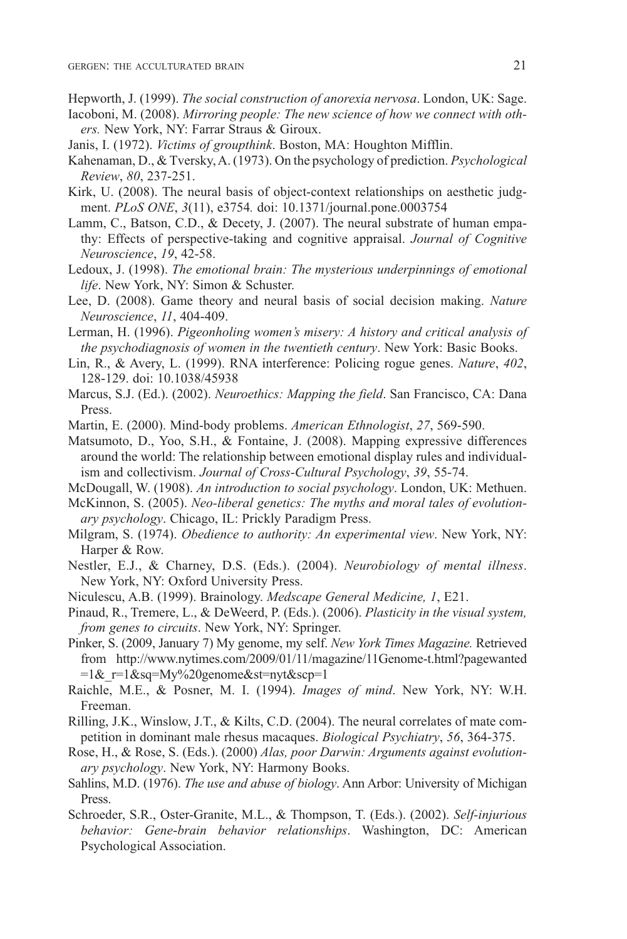- Hepworth, J. (1999). *The social construction of anorexia nervosa*. London, UK: Sage.
- Iacoboni, M. (2008). *Mirroring people: The new science of how we connect with others.* New York, NY: Farrar Straus & Giroux.
- Janis, I. (1972). *Victims of groupthink*. Boston, MA: Houghton Mifflin.
- Kahenaman, D., & Tversky, A. (1973). On the psychology of prediction. *Psychological Review*, *80*, 237-251.
- Kirk, U. (2008). The neural basis of object-context relationships on aesthetic judgment. *PLoS ONE*, *3*(11), e3754*.* doi: 10.1371/journal.pone.0003754
- Lamm, C., Batson, C.D., & Decety, J. (2007). The neural substrate of human empathy: Effects of perspective-taking and cognitive appraisal. *Journal of Cognitive Neuroscience*, *19*, 42-58.
- Ledoux, J. (1998). *The emotional brain: The mysterious underpinnings of emotional life*. New York, NY: Simon & Schuster.
- Lee, D. (2008). Game theory and neural basis of social decision making. *Nature Neuroscience*, *11*, 404-409.
- Lerman, H. (1996). *Pigeonholing women's misery: A history and critical analysis of the psychodiagnosis of women in the twentieth century*. New York: Basic Books.
- Lin, R., & Avery, L. (1999). RNA interference: Policing rogue genes. *Nature*, *402*, 128-129. doi: 10.1038/45938
- Marcus, S.J. (Ed.). (2002). *Neuroethics: Mapping the field*. San Francisco, CA: Dana Press.
- Martin, E. (2000). Mind-body problems. *American Ethnologist*, *27*, 569-590.
- Matsumoto, D., Yoo, S.H., & Fontaine, J. (2008). Mapping expressive differences around the world: The relationship between emotional display rules and individualism and collectivism. *Journal of Cross-Cultural Psychology*, *39*, 55-74.
- McDougall, W. (1908). *An introduction to social psychology*. London, UK: Methuen.
- McKinnon, S. (2005). *Neo-liberal genetics: The myths and moral tales of evolutionary psychology*. Chicago, IL: Prickly Paradigm Press.
- Milgram, S. (1974). *Obedience to authority: An experimental view*. New York, NY: Harper & Row.
- Nestler, E.J., & Charney, D.S. (Eds.). (2004). *Neurobiology of mental illness*. New York, NY: Oxford University Press.
- Niculescu, A.B. (1999). Brainology. *Medscape General Medicine, 1*, E21.
- Pinaud, R., Tremere, L., & DeWeerd, P. (Eds.). (2006). *Plasticity in the visual system, from genes to circuits*. New York, NY: Springer.
- Pinker, S. (2009, January 7) My genome, my self. *New York Times Magazine.* Retrieved from http://www.nytimes.com/2009/01/11/magazine/11Genome-t.html?pagewanted  $=1$ & r=1&sq=My%20genome&st=nyt&scp=1
- Raichle, M.E., & Posner, M. I. (1994). *Images of mind*. New York, NY: W.H. Freeman.
- Rilling, J.K., Winslow, J.T., & Kilts, C.D. (2004). The neural correlates of mate competition in dominant male rhesus macaques. *Biological Psychiatry*, *56*, 364-375.
- Rose, H., & Rose, S. (Eds.). (2000) *Alas, poor Darwin: Arguments against evolutionary psychology*. New York, NY: Harmony Books.
- Sahlins, M.D. (1976). *The use and abuse of biology*. Ann Arbor: University of Michigan Press.
- Schroeder, S.R., Oster-Granite, M.L., & Thompson, T. (Eds.). (2002). *Self-injurious behavior: Gene*-*brain behavior relationships*. Washington, DC: American Psychological Association.